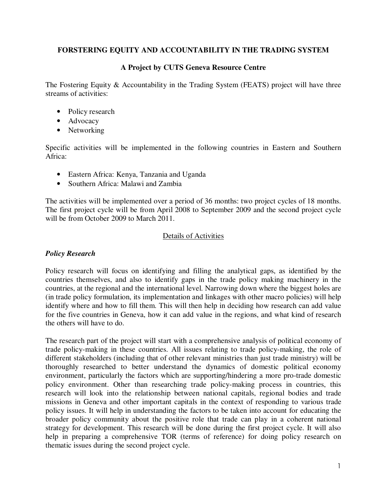# **FORSTERING EQUITY AND ACCOUNTABILITY IN THE TRADING SYSTEM**

# **A Project by CUTS Geneva Resource Centre**

The Fostering Equity & Accountability in the Trading System (FEATS) project will have three streams of activities:

- Policy research
- Advocacy
- Networking

Specific activities will be implemented in the following countries in Eastern and Southern Africa:

- Eastern Africa: Kenya, Tanzania and Uganda
- Southern Africa: Malawi and Zambia

The activities will be implemented over a period of 36 months: two project cycles of 18 months. The first project cycle will be from April 2008 to September 2009 and the second project cycle will be from October 2009 to March 2011.

## Details of Activities

## *Policy Research*

Policy research will focus on identifying and filling the analytical gaps, as identified by the countries themselves, and also to identify gaps in the trade policy making machinery in the countries, at the regional and the international level. Narrowing down where the biggest holes are (in trade policy formulation, its implementation and linkages with other macro policies) will help identify where and how to fill them. This will then help in deciding how research can add value for the five countries in Geneva, how it can add value in the regions, and what kind of research the others will have to do.

The research part of the project will start with a comprehensive analysis of political economy of trade policy-making in these countries. All issues relating to trade policy-making, the role of different stakeholders (including that of other relevant ministries than just trade ministry) will be thoroughly researched to better understand the dynamics of domestic political economy environment, particularly the factors which are supporting/hindering a more pro-trade domestic policy environment. Other than researching trade policy-making process in countries, this research will look into the relationship between national capitals, regional bodies and trade missions in Geneva and other important capitals in the context of responding to various trade policy issues. It will help in understanding the factors to be taken into account for educating the broader policy community about the positive role that trade can play in a coherent national strategy for development. This research will be done during the first project cycle. It will also help in preparing a comprehensive TOR (terms of reference) for doing policy research on thematic issues during the second project cycle.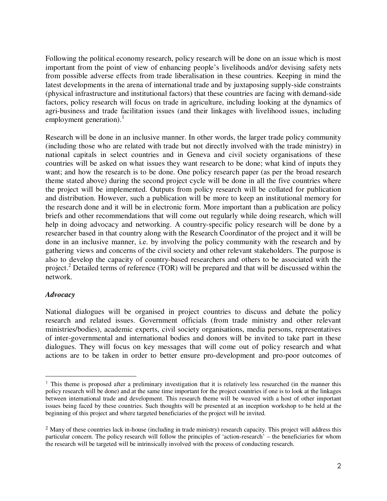Following the political economy research, policy research will be done on an issue which is most important from the point of view of enhancing people's livelihoods and/or devising safety nets from possible adverse effects from trade liberalisation in these countries. Keeping in mind the latest developments in the arena of international trade and by juxtaposing supply-side constraints (physical infrastructure and institutional factors) that these countries are facing with demand-side factors, policy research will focus on trade in agriculture, including looking at the dynamics of agri-business and trade facilitation issues (and their linkages with livelihood issues, including employment generation). $<sup>1</sup>$ </sup>

Research will be done in an inclusive manner. In other words, the larger trade policy community (including those who are related with trade but not directly involved with the trade ministry) in national capitals in select countries and in Geneva and civil society organisations of these countries will be asked on what issues they want research to be done; what kind of inputs they want; and how the research is to be done. One policy research paper (as per the broad research theme stated above) during the second project cycle will be done in all the five countries where the project will be implemented. Outputs from policy research will be collated for publication and distribution. However, such a publication will be more to keep an institutional memory for the research done and it will be in electronic form. More important than a publication are policy briefs and other recommendations that will come out regularly while doing research, which will help in doing advocacy and networking. A country-specific policy research will be done by a researcher based in that country along with the Research Coordinator of the project and it will be done in an inclusive manner, i.e. by involving the policy community with the research and by gathering views and concerns of the civil society and other relevant stakeholders. The purpose is also to develop the capacity of country-based researchers and others to be associated with the project.<sup>2</sup> Detailed terms of reference (TOR) will be prepared and that will be discussed within the network.

#### *Advocacy*

l.

National dialogues will be organised in project countries to discuss and debate the policy research and related issues. Government officials (from trade ministry and other relevant ministries/bodies), academic experts, civil society organisations, media persons, representatives of inter-governmental and international bodies and donors will be invited to take part in these dialogues. They will focus on key messages that will come out of policy research and what actions are to be taken in order to better ensure pro-development and pro-poor outcomes of

<sup>1</sup> This theme is proposed after a preliminary investigation that it is relatively less researched (in the manner this policy research will be done) and at the same time important for the project countries if one is to look at the linkages between international trade and development. This research theme will be weaved with a host of other important issues being faced by these countries. Such thoughts will be presented at an inception workshop to be held at the beginning of this project and where targeted beneficiaries of the project will be invited.

<sup>&</sup>lt;sup>2</sup> Many of these countries lack in-house (including in trade ministry) research capacity. This project will address this particular concern. The policy research will follow the principles of 'action-research' – the beneficiaries for whom the research will be targeted will be intrinsically involved with the process of conducting research.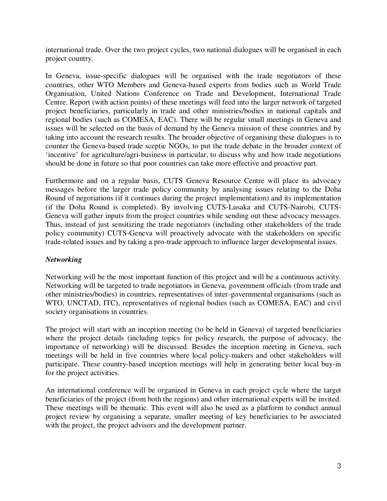international trade. Over the two project cycles, two national dialogues will be organised in each project country.

In Geneva, issue-specific dialogues will be organised with the trade negotiators of these countries, other WTO Members and Geneva-based experts from bodies such as World Trade Organisation, United Nations Conference on Trade and Development, International Trade Centre. Report (with action points) of these meetings will feed into the larger network of targeted project beneficiaries, particularly in trade and other ministries/bodies in national capitals and regional bodies (such as COMESA, EAC). There will be regular small meetings in Geneva and issues will be selected on the basis of demand by the Geneva mission of these countries and by taking into account the research results. The broader objective of organising these dialogues is to counter the Geneva-based trade sceptic NGOs, to put the trade debate in the broader context of 'incentive' for agriculture/agri-business in particular, to discuss why and how trade negotiations should be done in future so that poor countries can take more effective and proactive part.

Furthermore and on a regular basis, CUTS Geneva Resource Centre will place its advocacy messages before the larger trade policy community by analysing issues relating to the Doha Round of negotiations (if it continues during the project implementation) and its implementation (if the Doha Round is completed). By involving CUTS-Lusaka and CUTS-Nairobi, CUTS-Geneva will gather inputs from the project countries while sending out these advocacy messages. Thus, instead of just sensitizing the trade negotiators (including other stakeholders of the trade policy community) CUTS-Geneva will proactively advocate with the stakeholders on specific trade-related issues and by taking a pro-trade approach to influence larger developmental issues.

## *Networking*

Networking will be the most important function of this project and will be a continuous activity. Networking will be targeted to trade negotiators in Geneva, government officials (from trade and other ministries/bodies) in countries, representatives of inter-governmental organisations (such as WTO, UNCTAD, ITC), representatives of regional bodies (such as COMESA, EAC) and civil society organisations in countries.

The project will start with an inception meeting (to be held in Geneva) of targeted beneficiaries where the project details (including topics for policy research, the purpose of advocacy, the importance of networking) will be discussed. Besides the inception meeting in Geneva, such meetings will be held in five countries where local policy-makers and other stakeholders will participate. These country-based inception meetings will help in generating better local buy-in for the project activities.

An international conference will be organized in Geneva in each project cycle where the target beneficiaries of the project (from both the regions) and other international experts will be invited. These meetings will be thematic. This event will also be used as a platform to conduct annual project review by organising a separate, smaller meeting of key beneficiaries to be associated with the project, the project advisors and the development partner.